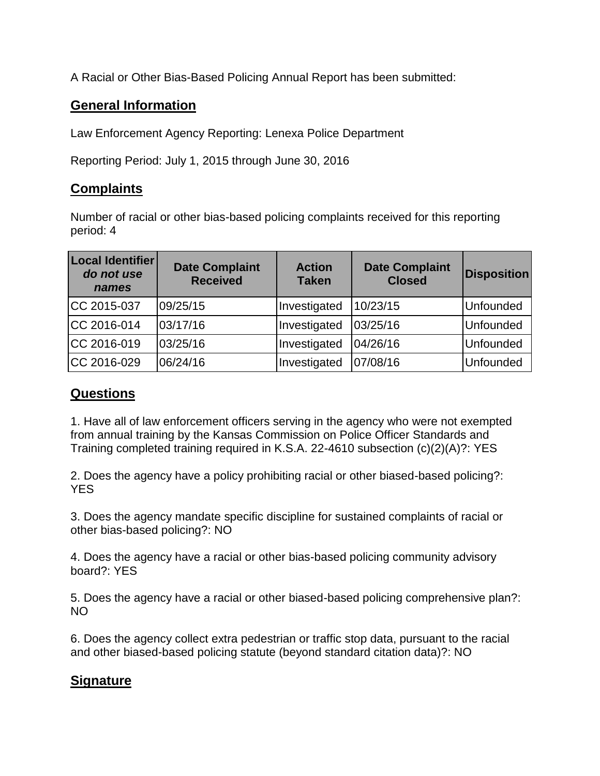A Racial or Other Bias-Based Policing Annual Report has been submitted:

## **General Information**

Law Enforcement Agency Reporting: Lenexa Police Department

Reporting Period: July 1, 2015 through June 30, 2016

## **Complaints**

Number of racial or other bias-based policing complaints received for this reporting period: 4

| <b>Local Identifier</b><br>do not use<br>names | <b>Date Complaint</b><br><b>Received</b> | <b>Action</b><br><b>Taken</b> | <b>Date Complaint</b><br><b>Closed</b> | <b>Disposition</b> |
|------------------------------------------------|------------------------------------------|-------------------------------|----------------------------------------|--------------------|
| CC 2015-037                                    | 09/25/15                                 | Investigated                  | 10/23/15                               | Unfounded          |
| CC 2016-014                                    | 03/17/16                                 | Investigated                  | 03/25/16                               | Unfounded          |
| CC 2016-019                                    | 03/25/16                                 | Investigated                  | 04/26/16                               | Unfounded          |
| CC 2016-029                                    | 06/24/16                                 | Investigated                  | 07/08/16                               | Unfounded          |

## **Questions**

1. Have all of law enforcement officers serving in the agency who were not exempted from annual training by the Kansas Commission on Police Officer Standards and Training completed training required in K.S.A. 22-4610 subsection (c)(2)(A)?: YES

2. Does the agency have a policy prohibiting racial or other biased-based policing?: YES

3. Does the agency mandate specific discipline for sustained complaints of racial or other bias-based policing?: NO

4. Does the agency have a racial or other bias-based policing community advisory board?: YES

5. Does the agency have a racial or other biased-based policing comprehensive plan?: NO

6. Does the agency collect extra pedestrian or traffic stop data, pursuant to the racial and other biased-based policing statute (beyond standard citation data)?: NO

## **Signature**